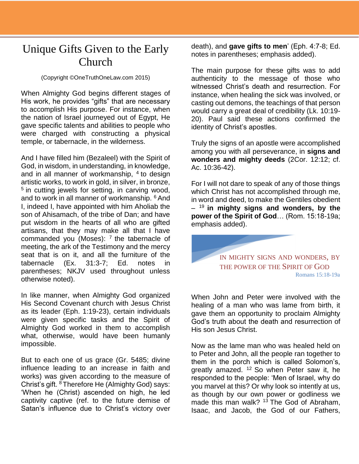## Unique Gifts Given to the Early Church

## (Copyright ©OneTruthOneLaw.com 2015)

When Almighty God begins different stages of His work, he provides "gifts" that are necessary to accomplish His purpose. For instance, when the nation of Israel journeyed out of Egypt, He gave specific talents and abilities to people who were charged with constructing a physical temple, or tabernacle, in the wilderness.

And I have filled him (Bezaleel) with the Spirit of God, in wisdom, in understanding, in knowledge, and in all manner of workmanship, <sup>4</sup> to design artistic works, to work in gold, in silver, in bronze,  $5$  in cutting jewels for setting, in carving wood, and to work in all manner of workmanship. <sup>6</sup> And I, indeed I, have appointed with him Aholiab the son of Ahisamach, of the tribe of Dan; and have put wisdom in the hearts of all who are gifted artisans, that they may make all that I have commanded you (Moses):  $<sup>7</sup>$  the tabernacle of</sup> meeting, the ark of the Testimony and the mercy seat that is on it, and all the furniture of the tabernacle (Ex. 31:3-7; Ed. notes in parentheses; NKJV used throughout unless otherwise noted).

In like manner, when Almighty God organized His Second Covenant church with Jesus Christ as its leader (Eph. 1:19-23), certain individuals were given specific tasks and the Spirit of Almighty God worked in them to accomplish what, otherwise, would have been humanly impossible.

But to each one of us grace (Gr. 5485; divine influence leading to an increase in faith and works) was given according to the measure of Christ's gift. <sup>8</sup>Therefore He (Almighty God) says: 'When he (Christ) ascended on high, he led captivity captive (ref. to the future demise of Satan's influence due to Christ's victory over death), and **gave gifts to men**' (Eph. 4:7-8; Ed. notes in parentheses; emphasis added).

The main purpose for these gifts was to add authenticity to the message of those who witnessed Christ's death and resurrection. For instance, when healing the sick was involved, or casting out demons, the teachings of that person would carry a great deal of credibility (Lk. 10:19- 20). Paul said these actions confirmed the identity of Christ's apostles.

Truly the signs of an apostle were accomplished among you with all perseverance, in **signs and wonders and mighty deeds** (2Cor. 12:12; cf. Ac. 10:36-42).

For I will not dare to speak of any of those things which Christ has not accomplished through me, in word and deed, to make the Gentiles obedient – <sup>19</sup>**in mighty signs and wonders, by the power of the Spirit of God**… (Rom. 15:18-19a; emphasis added).

> IN MIGHTY SIGNS AND WONDERS, BY THE POWER OF THE SPIRIT OF GOD Romans 15:18-19a

When John and Peter were involved with the healing of a man who was lame from birth, it gave them an opportunity to proclaim Almighty God's truth about the death and resurrection of His son Jesus Christ.

Now as the lame man who was healed held on to Peter and John, all the people ran together to them in the porch which is called Solomon's, greatly amazed.  $12$  So when Peter saw it, he responded to the people: 'Men of Israel, why do you marvel at this? Or why look so intently at us, as though by our own power or godliness we made this man walk?  $13$  The God of Abraham, Isaac, and Jacob, the God of our Fathers,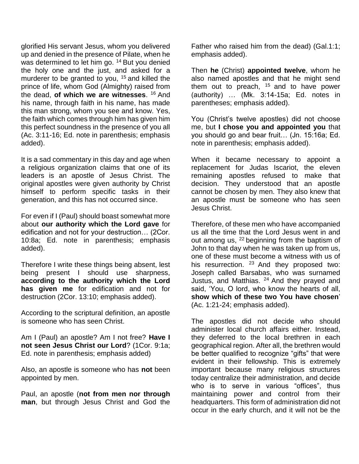glorified His servant Jesus, whom you delivered up and denied in the presence of Pilate, when he was determined to let him go. <sup>14</sup> But you denied the holy one and the just, and asked for a murderer to be granted to you,  $15$  and killed the prince of life, whom God (Almighty) raised from the dead, of which we are witnesses. <sup>16</sup> And his name, through faith in his name, has made this man strong, whom you see and know. Yes, the faith which comes through him has given him this perfect soundness in the presence of you all (Ac. 3:11-16; Ed. note in parenthesis; emphasis added).

It is a sad commentary in this day and age when a religious organization claims that one of its leaders is an apostle of Jesus Christ. The original apostles were given authority by Christ himself to perform specific tasks in their generation, and this has not occurred since.

For even if I (Paul) should boast somewhat more about **our authority which the Lord gave** for edification and not for your destruction… (2Cor. 10:8a; Ed. note in parenthesis; emphasis added).

Therefore I write these things being absent, lest being present I should use sharpness, **according to the authority which the Lord has given me** for edification and not for destruction (2Cor. 13:10; emphasis added).

According to the scriptural definition, an apostle is someone who has seen Christ.

Am I (Paul) an apostle? Am I not free? **Have I not seen Jesus Christ our Lord**? (1Cor. 9:1a; Ed. note in parenthesis; emphasis added)

Also, an apostle is someone who has **not** been appointed by men.

Paul, an apostle (**not from men nor through man**, but through Jesus Christ and God the Father who raised him from the dead) (Gal.1:1; emphasis added).

Then **he** (Christ) **appointed twelve**, whom he also named apostles and that he might send them out to preach, <sup>15</sup> and to have power (authority) … (Mk. 3:14-15a; Ed. notes in parentheses; emphasis added).

You (Christ's twelve apostles) did not choose me, but **I chose you and appointed you** that you should go and bear fruit… (Jn. 15:16a; Ed. note in parenthesis; emphasis added).

When it became necessary to appoint a replacement for Judas Iscariot, the eleven remaining apostles refused to make that decision. They understood that an apostle cannot be chosen by men. They also knew that an apostle must be someone who has seen Jesus Christ.

Therefore, of these men who have accompanied us all the time that the Lord Jesus went in and out among us,  $22$  beginning from the baptism of John to that day when he was taken up from us, one of these must become a witness with us of his resurrection. <sup>23</sup> And they proposed two: Joseph called Barsabas, who was surnamed Justus, and Matthias. <sup>24</sup> And they prayed and said, 'You, O lord, who know the hearts of all, **show which of these two You have chosen**' (Ac. 1:21-24; emphasis added).

The apostles did not decide who should administer local church affairs either. Instead, they deferred to the local brethren in each geographical region. After all, the brethren would be better qualified to recognize "gifts" that were evident in their fellowship. This is extremely important because many religious structures today centralize their administration, and decide who is to serve in various "offices", thus maintaining power and control from their headquarters. This form of administration did not occur in the early church, and it will not be the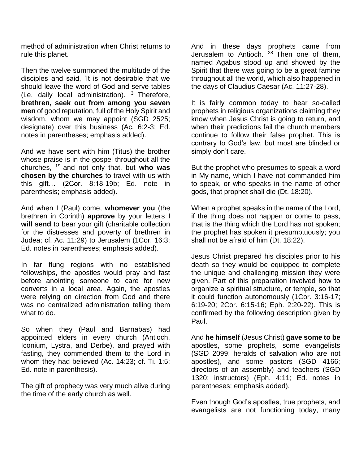method of administration when Christ returns to rule this planet.

Then the twelve summoned the multitude of the disciples and said, 'It is not desirable that we should leave the word of God and serve tables (i.e. daily local administration).  $3$  Therefore, **brethren, seek out from among you seven men** of good reputation, full of the Holy Spirit and wisdom, whom we may appoint (SGD 2525; designate) over this business (Ac. 6:2-3; Ed. notes in parentheses; emphasis added).

And we have sent with him (Titus) the brother whose praise is in the gospel throughout all the churches, <sup>19</sup>and not only that, but **who was chosen by the churches** to travel with us with this gift… (2Cor. 8:18-19b; Ed. note in parenthesis; emphasis added).

And when I (Paul) come, **whomever you** (the brethren in Corinth) **approve** by your letters **I will send** to bear your gift (charitable collection for the distresses and poverty of brethren in Judea; cf. Ac. 11:29) to Jerusalem (1Cor. 16:3; Ed. notes in parentheses; emphasis added).

In far flung regions with no established fellowships, the apostles would pray and fast before anointing someone to care for new converts in a local area. Again, the apostles were relying on direction from God and there was no centralized administration telling them what to do.

So when they (Paul and Barnabas) had appointed elders in every church (Antioch, Iconium, Lystra, and Derbe), and prayed with fasting, they commended them to the Lord in whom they had believed (Ac. 14:23; cf. Ti. 1:5; Ed. note in parenthesis).

The gift of prophecy was very much alive during the time of the early church as well.

And in these days prophets came from Jerusalem to Antioch.  $28$  Then one of them, named Agabus stood up and showed by the Spirit that there was going to be a great famine throughout all the world, which also happened in the days of Claudius Caesar (Ac. 11:27-28).

It is fairly common today to hear so-called prophets in religious organizations claiming they know when Jesus Christ is going to return, and when their predictions fail the church members continue to follow their false prophet. This is contrary to God's law, but most are blinded or simply don't care.

But the prophet who presumes to speak a word in My name, which I have not commanded him to speak, or who speaks in the name of other gods, that prophet shall die (Dt. 18:20).

When a prophet speaks in the name of the Lord, if the thing does not happen or come to pass, that is the thing which the Lord has not spoken; the prophet has spoken it presumptuously; you shall not be afraid of him (Dt. 18:22).

Jesus Christ prepared his disciples prior to his death so they would be equipped to complete the unique and challenging mission they were given. Part of this preparation involved how to organize a spiritual structure, or temple, so that it could function autonomously (1Cor. 3:16-17; 6:19-20; 2Cor. 6:15-16; Eph. 2:20-22). This is confirmed by the following description given by Paul.

And **he himself** (Jesus Christ) **gave some to be** apostles, some prophets, some evangelists (SGD 2099; heralds of salvation who are not apostles), and some pastors (SGD 4166; directors of an assembly) and teachers (SGD 1320; instructors) (Eph. 4:11; Ed. notes in parentheses; emphasis added).

Even though God's apostles, true prophets, and evangelists are not functioning today, many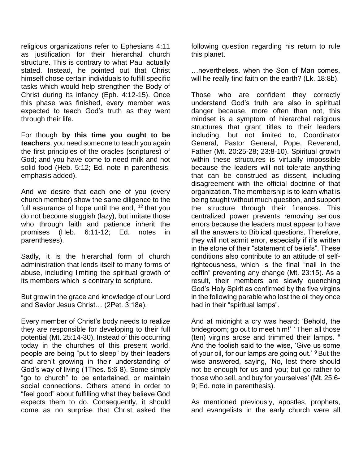religious organizations refer to Ephesians 4:11 as justification for their hierarchal church structure. This is contrary to what Paul actually stated. Instead, he pointed out that Christ himself chose certain individuals to fulfill specific tasks which would help strengthen the Body of Christ during its infancy (Eph. 4:12-15). Once this phase was finished, every member was expected to teach God's truth as they went through their life.

For though **by this time you ought to be teachers**, you need someone to teach you again the first principles of the oracles (scriptures) of God; and you have come to need milk and not solid food (Heb. 5:12; Ed. note in parenthesis; emphasis added).

And we desire that each one of you (every church member) show the same diligence to the full assurance of hope until the end,  $12$  that you do not become sluggish (lazy), but imitate those who through faith and patience inherit the promises (Heb. 6:11-12; Ed. notes in parentheses).

Sadly, it is the hierarchal form of church administration that lends itself to many forms of abuse, including limiting the spiritual growth of its members which is contrary to scripture.

But grow in the grace and knowledge of our Lord and Savior Jesus Christ… (2Pet. 3:18a).

Every member of Christ's body needs to realize they are responsible for developing to their full potential (Mt. 25:14-30). Instead of this occurring today in the churches of this present world, people are being "put to sleep" by their leaders and aren't growing in their understanding of God's way of living (1Thes. 5:6-8). Some simply "go to church" to be entertained, or maintain social connections. Others attend in order to "feel good" about fulfilling what they believe God expects them to do. Consequently, it should come as no surprise that Christ asked the

following question regarding his return to rule this planet.

…nevertheless, when the Son of Man comes, will he really find faith on the earth? (Lk. 18:8b).

Those who are confident they correctly understand God's truth are also in spiritual danger because, more often than not, this mindset is a symptom of hierarchal religious structures that grant titles to their leaders including, but not limited to, Coordinator General, Pastor General, Pope, Reverend, Father (Mt. 20:25-28; 23:8-10). Spiritual growth within these structures is virtually impossible because the leaders will not tolerate anything that can be construed as dissent, including disagreement with the official doctrine of that organization. The membership is to learn what is being taught without much question, and support the structure through their finances. This centralized power prevents removing serious errors because the leaders must appear to have all the answers to Biblical questions. Therefore, they will not admit error, especially if it's written in the stone of their "statement of beliefs". These conditions also contribute to an attitude of selfrighteousness, which is the final "nail in the coffin" preventing any change (Mt. 23:15). As a result, their members are slowly quenching God's Holy Spirit as confirmed by the five virgins in the following parable who lost the oil they once had in their "spiritual lamps".

And at midnight a cry was heard: 'Behold, the bridegroom; go out to meet him!'  $7$  Then all those (ten) virgins arose and trimmed their lamps. <sup>8</sup> And the foolish said to the wise, 'Give us some of your oil, for our lamps are going out.' <sup>9</sup> But the wise answered, saying, 'No, lest there should not be enough for us and you; but go rather to those who sell, and buy for yourselves' (Mt. 25:6- 9; Ed. note in parenthesis).

As mentioned previously, apostles, prophets, and evangelists in the early church were all